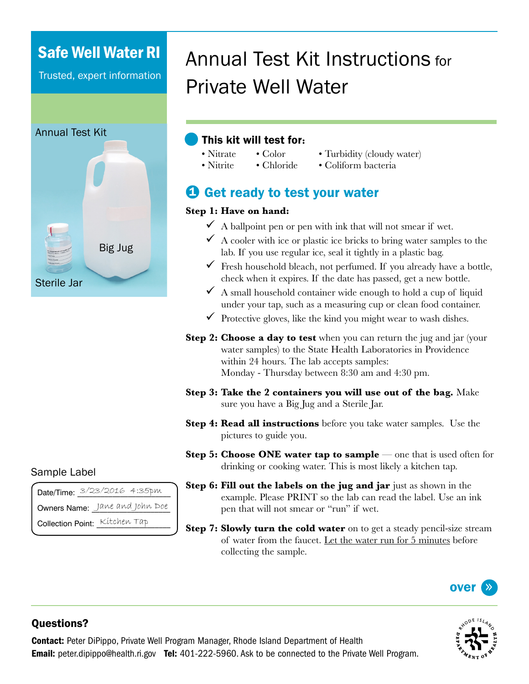## Safe Well Water RI

Trusted, expert information



# Annual Test Kit Instructions for Private Well Water

### This kit will test for**:**

- Turbidity (cloudy water)
- Nitrite • Chloride
- 
- Coliform bacteria

## **D** Get ready to test your water

• Color

#### **Step 1: Have on hand:**

• Nitrate

- $\checkmark$  A ballpoint pen or pen with ink that will not smear if wet.
- $\checkmark$  A cooler with ice or plastic ice bricks to bring water samples to the lab. If you use regular ice, seal it tightly in a plastic bag.
- $\checkmark$  Fresh household bleach, not perfumed. If you already have a bottle, check when it expires. If the date has passed, get a new bottle.
- $\checkmark$  A small household container wide enough to hold a cup of liquid under your tap, such as a measuring cup or clean food container.
- $\checkmark$  Protective gloves, like the kind you might wear to wash dishes.
- **Step 2: Choose a day to test** when you can return the jug and jar (your water samples) to the State Health Laboratories in Providence within 24 hours. The lab accepts samples: Monday - Thursday between 8:30 am and 4:30 pm.
- **Step 3: Take the 2 containers you will use out of the bag.** Make sure you have a Big Jug and a Sterile Jar.
- **Step 4: Read all instructions** before you take water samples. Use the pictures to guide you.
- **Step 5: Choose ONE water tap to sample** one that is used often for drinking or cooking water. This is most likely a kitchen tap.
- **Step 6: Fill out the labels on the jug and jar** just as shown in the example. Please PRINT so the lab can read the label. Use an ink pen that will not smear or "run" if wet.
- **Step 7: Slowly turn the cold water** on to get a steady pencil-size stream of water from the faucet. Let the water run for 5 minutes before collecting the sample.





#### Questions?

Contact: Peter DiPippo, Private Well Program Manager, Rhode Island Department of Health **Email:** peter.dipippo@health.ri.gov **Tel:** 401-222-5960. Ask to be connected to the Private Well Program.

#### Sample Label

|                                | Date/Time: 3/23/2016 4:35pm |
|--------------------------------|-----------------------------|
| Owners Name: Jane and John Doe |                             |
| Collection Point: Kitchen Tap  |                             |